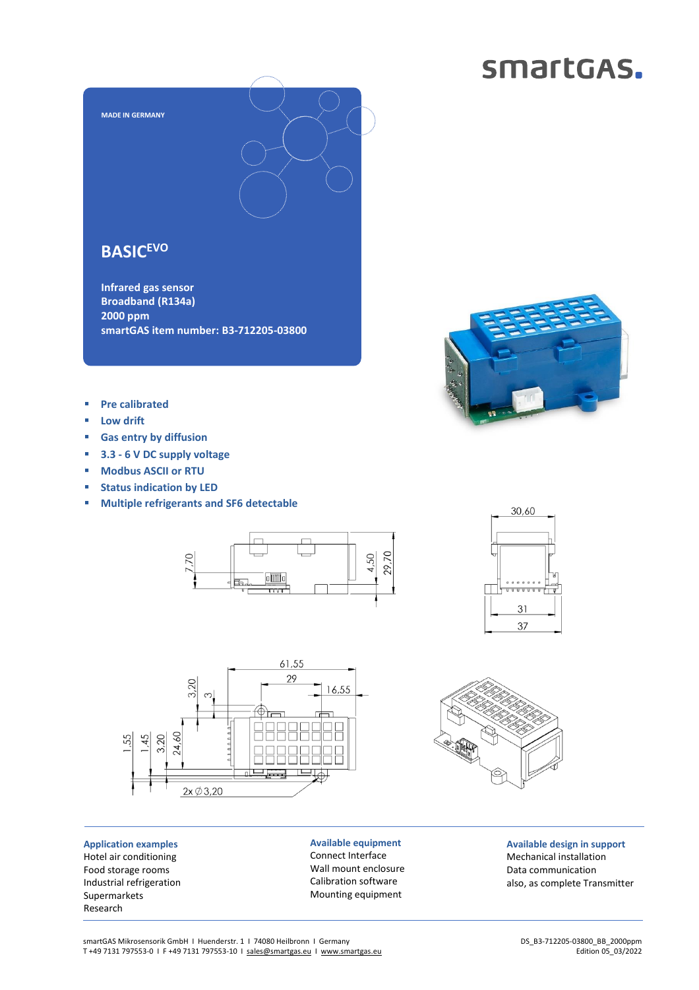### smartGAS.



### **BASICEVO**

**Infrared gas sensor Broadband (R134a) 2000 ppm smartGAS item number: B3-712205-03800**



- **Pre calibrated**
- **Low drift**
- **Gas entry by diffusion**
- **3.3 - 6 V DC supply voltage**
- **Modbus ASCII or RTU**
- **Status indication by LED**
- **Multiple refrigerants and SF6 detectable**







**Application examples** Hotel air conditioning Food storage rooms Industrial refrigeration Supermarkets Research

**Available equipment** Connect Interface Wall mount enclosure Calibration software Mounting equipment

**Available design in support** Mechanical installation Data communication also, as complete Transmitter

smartGAS Mikrosensorik GmbH | Huenderstr. 1 | 74080 Heilbronn | Germany T +49 7131 797553-0 I F +49 7131 797553-10 I [sales@smartgas.eu](mailto:sales@smartgas.eu) I [www.smartgas.eu](http://www.smartgas.eu/)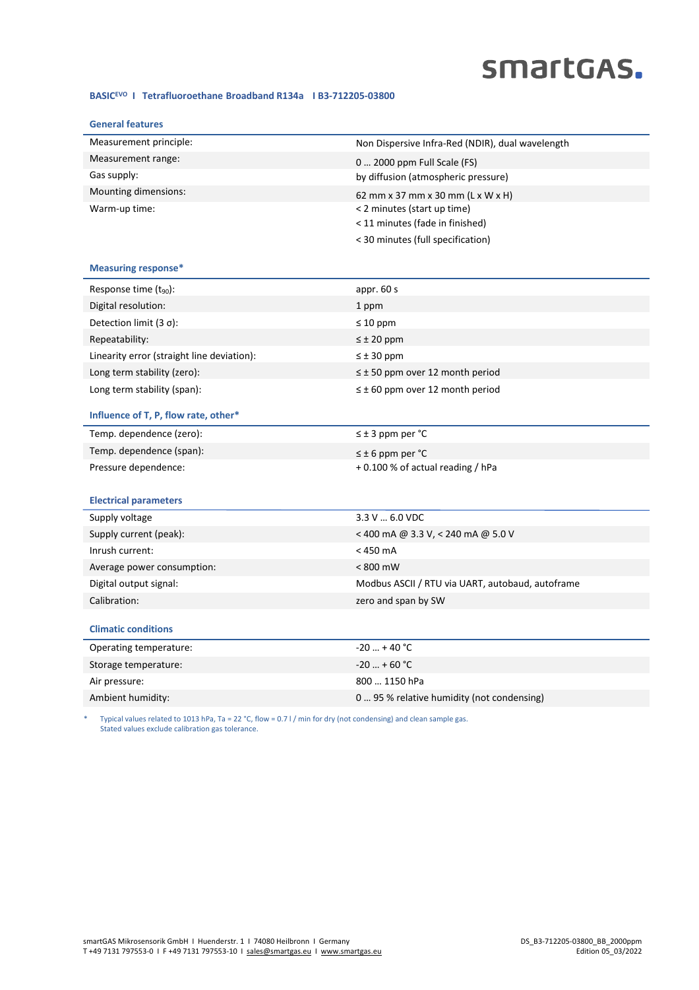# smartGAS.

#### **BASICEVO I Tetrafluoroethane Broadband R134a I B3-712205-03800**

| <b>General features</b>                    |                                                  |
|--------------------------------------------|--------------------------------------------------|
| Measurement principle:                     | Non Dispersive Infra-Red (NDIR), dual wavelength |
| Measurement range:                         | 0  2000 ppm Full Scale (FS)                      |
| Gas supply:                                | by diffusion (atmospheric pressure)              |
| Mounting dimensions:                       | 62 mm x 37 mm x 30 mm (L x W x H)                |
| Warm-up time:                              | < 2 minutes (start up time)                      |
|                                            | < 11 minutes (fade in finished)                  |
|                                            | < 30 minutes (full specification)                |
| <b>Measuring response*</b>                 |                                                  |
| Response time $(t_{90})$ :                 | appr. 60 s                                       |
| Digital resolution:                        | 1 ppm                                            |
| Detection limit $(3 \sigma)$ :             | $\leq 10$ ppm                                    |
| Repeatability:                             | $\leq \pm 20$ ppm                                |
| Linearity error (straight line deviation): | $\leq \pm 30$ ppm                                |
| Long term stability (zero):                | $\leq$ ± 50 ppm over 12 month period             |
| Long term stability (span):                | $\leq \pm 60$ ppm over 12 month period           |
| Influence of T, P, flow rate, other*       |                                                  |
| Temp. dependence (zero):                   | $\leq \pm 3$ ppm per °C                          |
| Temp. dependence (span):                   | $\leq$ ± 6 ppm per °C                            |
| Pressure dependence:                       | +0.100 % of actual reading / hPa                 |
|                                            |                                                  |
| <b>Electrical parameters</b>               |                                                  |
| Supply voltage                             | 3.3 V  6.0 VDC                                   |
| Supply current (peak):                     | < 400 mA @ 3.3 V, < 240 mA @ 5.0 V               |
| Inrush current:                            | $<$ 450 mA                                       |
| Average power consumption:                 | < 800 mW                                         |
| Digital output signal:                     | Modbus ASCII / RTU via UART, autobaud, autoframe |
| Calibration:                               | zero and span by SW                              |
| <b>Climatic conditions</b>                 |                                                  |
| Operating temperature:                     | $-20$ + 40 °C                                    |
| Storage temperature:                       | $-20$ + 60 °C                                    |
| Air pressure:                              | 800  1150 hPa                                    |
| Ambient humidity:                          | 0  95 % relative humidity (not condensing)       |
|                                            |                                                  |

\* Typical values related to 1013 hPa, Ta = 22 °C, flow = 0.7 l / min for dry (not condensing) and clean sample gas. Stated values exclude calibration gas tolerance.